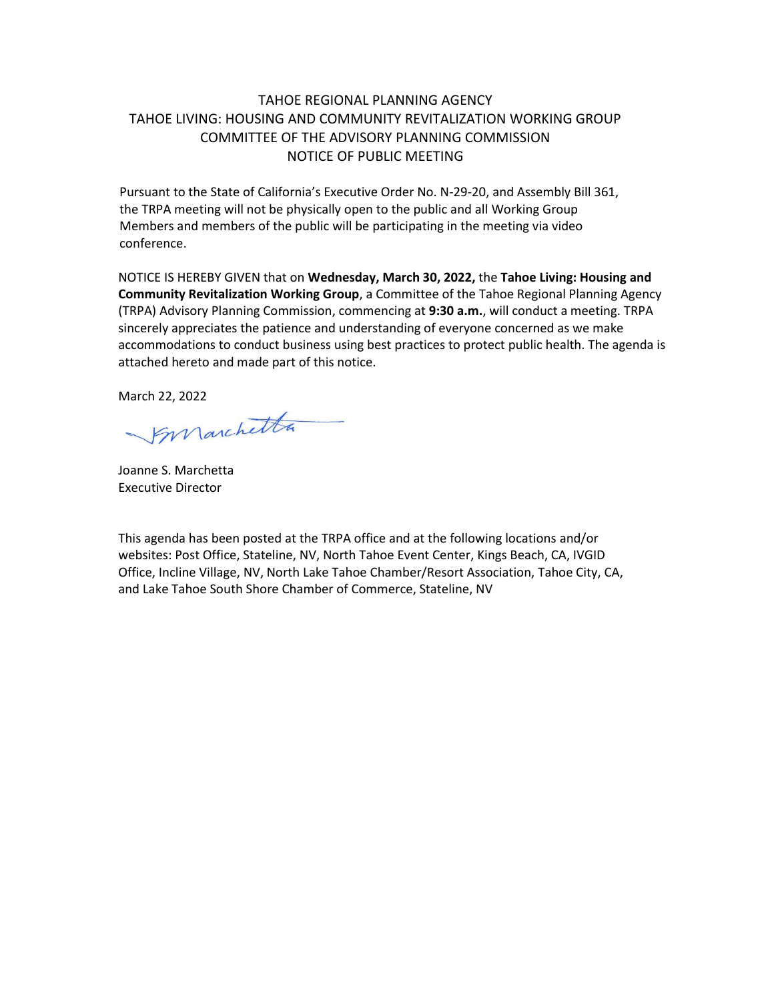# TAHOE REGIONAL PLANNING AGENCY TAHOE LIVING: HOUSING AND COMMUNITY REVITALIZATION WORKING GROUP COMMITTEE OF THE ADVISORY PLANNING COMMISSION NOTICE OF PUBLIC MEETING

Pursuant to the State of California's Executive Order No. N-29-20, and Assembly Bill 361, the TRPA meeting will not be physically open to the public and all Working Group Members and members of the public will be participating in the meeting via video conference.

NOTICE IS HEREBY GIVEN that on **Wednesday, March 30, 2022,** the **Tahoe Living: Housing and Community Revitalization Working Group**, a Committee of the Tahoe Regional Planning Agency (TRPA) Advisory Planning Commission, commencing at **9:30 a.m.**, will conduct a meeting. TRPA sincerely appreciates the patience and understanding of everyone concerned as we make accommodations to conduct business using best practices to protect public health. The agenda is attached hereto and made part of this notice.

March 22, 2022

Smarchetta

Joanne S. Marchetta Executive Director

This agenda has been posted at the TRPA office and at the following locations and/or websites: Post Office, Stateline, NV, North Tahoe Event Center, Kings Beach, CA, IVGID Office, Incline Village, NV, North Lake Tahoe Chamber/Resort Association, Tahoe City, CA, and Lake Tahoe South Shore Chamber of Commerce, Stateline, NV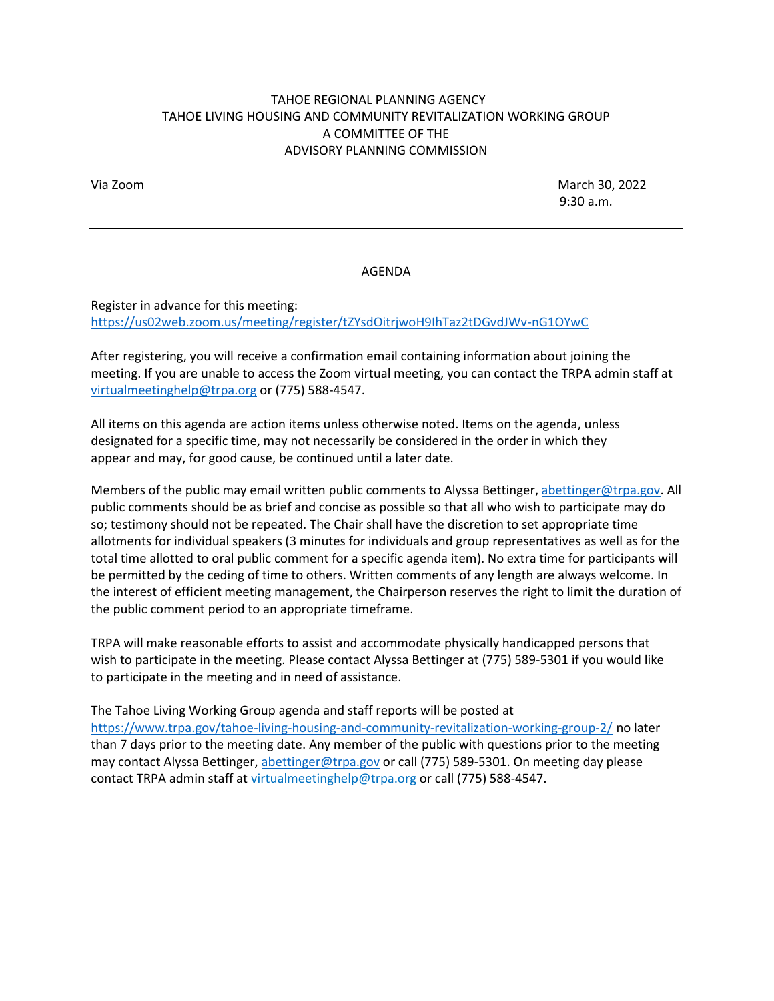## TAHOE REGIONAL PLANNING AGENCY TAHOE LIVING HOUSING AND COMMUNITY REVITALIZATION WORKING GROUP A COMMITTEE OF THE ADVISORY PLANNING COMMISSION

Via Zoom March 30, 2022  $9:30$  a.m.

#### AGENDA

Register in advance for this meeting: <https://us02web.zoom.us/meeting/register/tZYsdOitrjwoH9IhTaz2tDGvdJWv-nG1OYwC>

After registering, you will receive a confirmation email containing information about joining the meeting. If you are unable to access the Zoom virtual meeting, you can contact the TRPA admin staff at [virtualmeetinghelp@trpa.org](mailto:virtualmeetinghelp@trpa.org) or (775) 588-4547.

All items on this agenda are action items unless otherwise noted. Items on the agenda, unless designated for a specific time, may not necessarily be considered in the order in which they appear and may, for good cause, be continued until a later date.

Members of the public may email written public comments to Alyssa Bettinger[, abettinger@trpa.gov.](mailto:abettinger@trpa.gov) All public comments should be as brief and concise as possible so that all who wish to participate may do so; testimony should not be repeated. The Chair shall have the discretion to set appropriate time allotments for individual speakers (3 minutes for individuals and group representatives as well as for the total time allotted to oral public comment for a specific agenda item). No extra time for participants will be permitted by the ceding of time to others. Written comments of any length are always welcome. In the interest of efficient meeting management, the Chairperson reserves the right to limit the duration of the public comment period to an appropriate timeframe.

TRPA will make reasonable efforts to assist and accommodate physically handicapped persons that wish to participate in the meeting. Please contact Alyssa Bettinger at (775) 589-5301 if you would like to participate in the meeting and in need of assistance.

The Tahoe Living Working Group agenda and staff reports will be posted at <https://www.trpa.gov/tahoe-living-housing-and-community-revitalization-working-group-2/> no later than 7 days prior to the meeting date. Any member of the public with questions prior to the meeting may contact Alyssa Bettinger[, abettinger@trpa.gov](mailto:abettinger@trpa.gov) or call (775) 589-5301. On meeting day please contact TRPA admin staff at [virtualmeetinghelp@trpa.org](mailto:virtualmeetinghelp@trpa.org) or call (775) 588-4547.